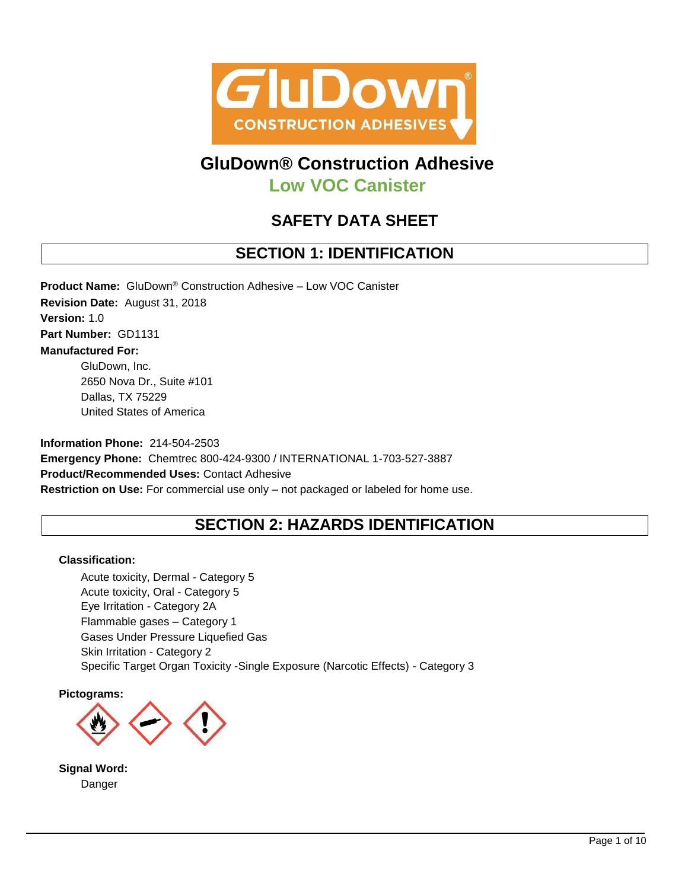

# **GluDown® Construction Adhesive**

**Low VOC Canister**

# **SAFETY DATA SHEET**

# **SECTION 1: IDENTIFICATION**

**Product Name:** GluDown® Construction Adhesive – Low VOC Canister

**Revision Date:** August 31, 2018 **Version:** 1.0 **Part Number:** GD1131 **Manufactured For:**  GluDown, Inc.

2650 Nova Dr., Suite #101 Dallas, TX 75229 United States of America

**Information Phone:** 214-504-2503 **Emergency Phone:** Chemtrec 800-424-9300 / INTERNATIONAL 1-703-527-3887 **Product/Recommended Uses:** Contact Adhesive **Restriction on Use:** For commercial use only – not packaged or labeled for home use.

# **SECTION 2: HAZARDS IDENTIFICATION**

## **Classification:**

Acute toxicity, Dermal - Category 5 Acute toxicity, Oral - Category 5 Eye Irritation - Category 2A Flammable gases – Category 1 Gases Under Pressure Liquefied Gas Skin Irritation - Category 2 Specific Target Organ Toxicity -Single Exposure (Narcotic Effects) - Category 3

**Pictograms:**



**Signal Word:** Danger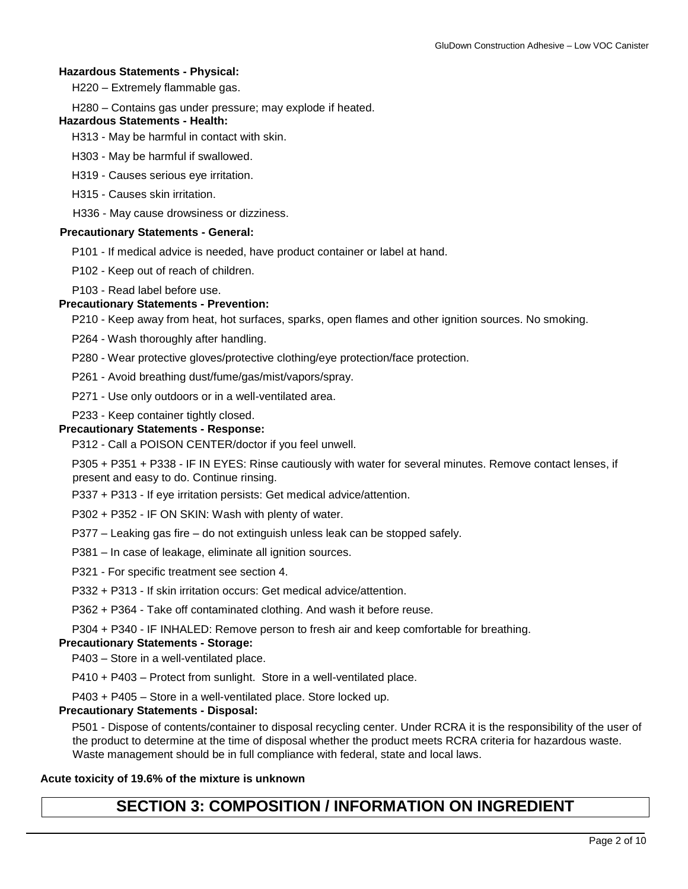### **Hazardous Statements - Physical:**

H220 – Extremely flammable gas.

H280 – Contains gas under pressure; may explode if heated.

#### **Hazardous Statements - Health:**

H313 - May be harmful in contact with skin.

H303 - May be harmful if swallowed.

H319 - Causes serious eye irritation.

H315 - Causes skin irritation.

H336 - May cause drowsiness or dizziness.

#### **Precautionary Statements - General:**

P101 - If medical advice is needed, have product container or label at hand.

P102 - Keep out of reach of children.

P103 - Read label before use.

### **Precautionary Statements - Prevention:**

P210 - Keep away from heat, hot surfaces, sparks, open flames and other ignition sources. No smoking.

P264 - Wash thoroughly after handling.

P280 - Wear protective gloves/protective clothing/eye protection/face protection.

P261 - Avoid breathing dust/fume/gas/mist/vapors/spray.

P271 - Use only outdoors or in a well-ventilated area.

P233 - Keep container tightly closed.

#### **Precautionary Statements - Response:**

P312 - Call a POISON CENTER/doctor if you feel unwell.

P305 + P351 + P338 - IF IN EYES: Rinse cautiously with water for several minutes. Remove contact lenses, if present and easy to do. Continue rinsing.

P337 + P313 - If eye irritation persists: Get medical advice/attention.

- P302 + P352 IF ON SKIN: Wash with plenty of water.
- P377 Leaking gas fire do not extinguish unless leak can be stopped safely.
- P381 In case of leakage, eliminate all ignition sources.
- P321 For specific treatment see section 4.
- P332 + P313 If skin irritation occurs: Get medical advice/attention.

P362 + P364 - Take off contaminated clothing. And wash it before reuse.

P304 + P340 - IF INHALED: Remove person to fresh air and keep comfortable for breathing.

### **Precautionary Statements - Storage:**

P403 – Store in a well-ventilated place.

P410 + P403 – Protect from sunlight. Store in a well-ventilated place.

P403 + P405 – Store in a well-ventilated place. Store locked up.

### **Precautionary Statements - Disposal:**

P501 - Dispose of contents/container to disposal recycling center. Under RCRA it is the responsibility of the user of the product to determine at the time of disposal whether the product meets RCRA criteria for hazardous waste. Waste management should be in full compliance with federal, state and local laws.

### **Acute toxicity of 19.6% of the mixture is unknown**

# **SECTION 3: COMPOSITION / INFORMATION ON INGREDIENT**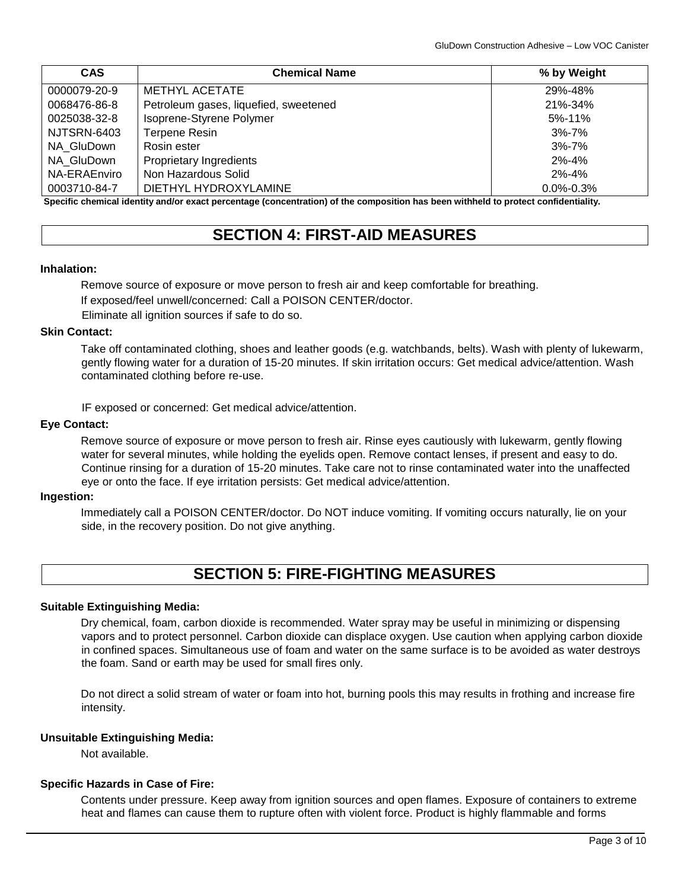| <b>CAS</b>   | <b>Chemical Name</b>                  | % by Weight     |  |  |
|--------------|---------------------------------------|-----------------|--|--|
| 0000079-20-9 | METHYL ACETATE                        | 29%-48%         |  |  |
| 0068476-86-8 | Petroleum gases, liquefied, sweetened | 21%-34%         |  |  |
| 0025038-32-8 | Isoprene-Styrene Polymer              | 5%-11%          |  |  |
| NJTSRN-6403  | <b>Terpene Resin</b>                  | $3\% - 7\%$     |  |  |
| NA GluDown   | Rosin ester                           | $3\% - 7\%$     |  |  |
| NA GluDown   | Proprietary Ingredients               | $2\% - 4\%$     |  |  |
| NA-ERAEnviro | Non Hazardous Solid                   | $2\% - 4\%$     |  |  |
| 0003710-84-7 | DIETHYL HYDROXYLAMINE<br>.<br>.       | $0.0\% - 0.3\%$ |  |  |

**Specific chemical identity and/or exact percentage (concentration) of the composition has been withheld to protect confidentiality.** 

# **SECTION 4: FIRST-AID MEASURES**

### **Inhalation:**

Remove source of exposure or move person to fresh air and keep comfortable for breathing. If exposed/feel unwell/concerned: Call a POISON CENTER/doctor.

Eliminate all ignition sources if safe to do so.

### **Skin Contact:**

Take off contaminated clothing, shoes and leather goods (e.g. watchbands, belts). Wash with plenty of lukewarm, gently flowing water for a duration of 15-20 minutes. If skin irritation occurs: Get medical advice/attention. Wash contaminated clothing before re-use.

IF exposed or concerned: Get medical advice/attention.

# **Eye Contact:**

Remove source of exposure or move person to fresh air. Rinse eyes cautiously with lukewarm, gently flowing water for several minutes, while holding the eyelids open. Remove contact lenses, if present and easy to do. Continue rinsing for a duration of 15-20 minutes. Take care not to rinse contaminated water into the unaffected eye or onto the face. If eye irritation persists: Get medical advice/attention.

### **Ingestion:**

Immediately call a POISON CENTER/doctor. Do NOT induce vomiting. If vomiting occurs naturally, lie on your side, in the recovery position. Do not give anything.

# **SECTION 5: FIRE-FIGHTING MEASURES**

### **Suitable Extinguishing Media:**

Dry chemical, foam, carbon dioxide is recommended. Water spray may be useful in minimizing or dispensing vapors and to protect personnel. Carbon dioxide can displace oxygen. Use caution when applying carbon dioxide in confined spaces. Simultaneous use of foam and water on the same surface is to be avoided as water destroys the foam. Sand or earth may be used for small fires only.

Do not direct a solid stream of water or foam into hot, burning pools this may results in frothing and increase fire intensity.

### **Unsuitable Extinguishing Media:**

Not available.

### **Specific Hazards in Case of Fire:**

Contents under pressure. Keep away from ignition sources and open flames. Exposure of containers to extreme heat and flames can cause them to rupture often with violent force. Product is highly flammable and forms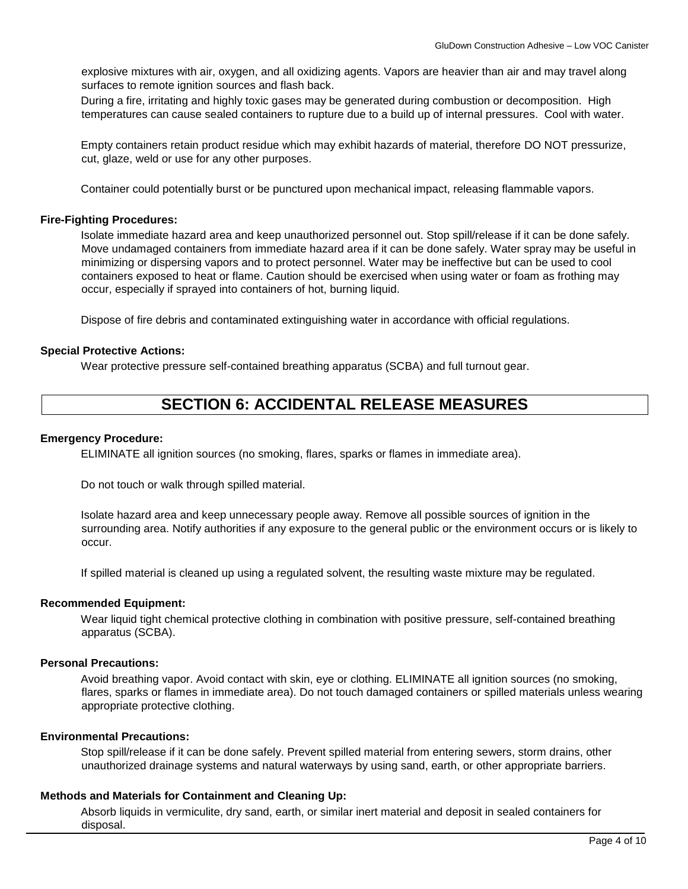explosive mixtures with air, oxygen, and all oxidizing agents. Vapors are heavier than air and may travel along surfaces to remote ignition sources and flash back.

During a fire, irritating and highly toxic gases may be generated during combustion or decomposition. High temperatures can cause sealed containers to rupture due to a build up of internal pressures. Cool with water.

Empty containers retain product residue which may exhibit hazards of material, therefore DO NOT pressurize, cut, glaze, weld or use for any other purposes.

Container could potentially burst or be punctured upon mechanical impact, releasing flammable vapors.

#### **Fire-Fighting Procedures:**

Isolate immediate hazard area and keep unauthorized personnel out. Stop spill/release if it can be done safely. Move undamaged containers from immediate hazard area if it can be done safely. Water spray may be useful in minimizing or dispersing vapors and to protect personnel. Water may be ineffective but can be used to cool containers exposed to heat or flame. Caution should be exercised when using water or foam as frothing may occur, especially if sprayed into containers of hot, burning liquid.

Dispose of fire debris and contaminated extinguishing water in accordance with official regulations.

#### **Special Protective Actions:**

Wear protective pressure self-contained breathing apparatus (SCBA) and full turnout gear.

# **SECTION 6: ACCIDENTAL RELEASE MEASURES**

### **Emergency Procedure:**

ELIMINATE all ignition sources (no smoking, flares, sparks or flames in immediate area).

Do not touch or walk through spilled material.

Isolate hazard area and keep unnecessary people away. Remove all possible sources of ignition in the surrounding area. Notify authorities if any exposure to the general public or the environment occurs or is likely to occur.

If spilled material is cleaned up using a regulated solvent, the resulting waste mixture may be regulated.

#### **Recommended Equipment:**

Wear liquid tight chemical protective clothing in combination with positive pressure, self-contained breathing apparatus (SCBA).

### **Personal Precautions:**

Avoid breathing vapor. Avoid contact with skin, eye or clothing. ELIMINATE all ignition sources (no smoking, flares, sparks or flames in immediate area). Do not touch damaged containers or spilled materials unless wearing appropriate protective clothing.

### **Environmental Precautions:**

Stop spill/release if it can be done safely. Prevent spilled material from entering sewers, storm drains, other unauthorized drainage systems and natural waterways by using sand, earth, or other appropriate barriers.

### **Methods and Materials for Containment and Cleaning Up:**

Absorb liquids in vermiculite, dry sand, earth, or similar inert material and deposit in sealed containers for disposal.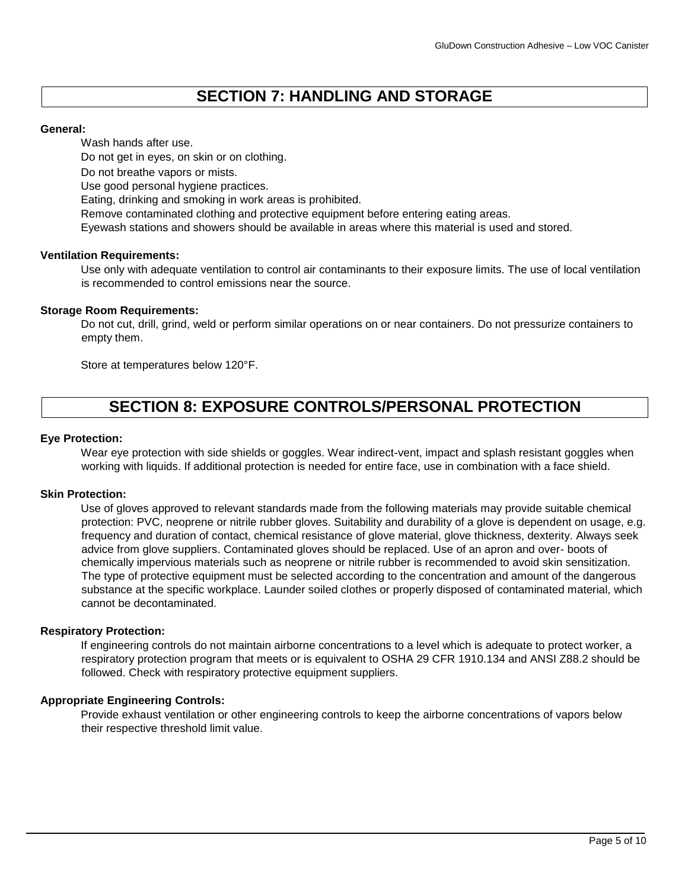# **SECTION 7: HANDLING AND STORAGE**

## **General:**

Wash hands after use.

Do not get in eyes, on skin or on clothing.

Do not breathe vapors or mists.

Use good personal hygiene practices.

Eating, drinking and smoking in work areas is prohibited.

Remove contaminated clothing and protective equipment before entering eating areas.

Eyewash stations and showers should be available in areas where this material is used and stored.

# **Ventilation Requirements:**

Use only with adequate ventilation to control air contaminants to their exposure limits. The use of local ventilation is recommended to control emissions near the source.

# **Storage Room Requirements:**

Do not cut, drill, grind, weld or perform similar operations on or near containers. Do not pressurize containers to empty them.

Store at temperatures below 120°F.

# **SECTION 8: EXPOSURE CONTROLS/PERSONAL PROTECTION**

# **Eye Protection:**

Wear eye protection with side shields or goggles. Wear indirect-vent, impact and splash resistant goggles when working with liquids. If additional protection is needed for entire face, use in combination with a face shield.

## **Skin Protection:**

Use of gloves approved to relevant standards made from the following materials may provide suitable chemical protection: PVC, neoprene or nitrile rubber gloves. Suitability and durability of a glove is dependent on usage, e.g. frequency and duration of contact, chemical resistance of glove material, glove thickness, dexterity. Always seek advice from glove suppliers. Contaminated gloves should be replaced. Use of an apron and over- boots of chemically impervious materials such as neoprene or nitrile rubber is recommended to avoid skin sensitization. The type of protective equipment must be selected according to the concentration and amount of the dangerous substance at the specific workplace. Launder soiled clothes or properly disposed of contaminated material, which cannot be decontaminated.

## **Respiratory Protection:**

If engineering controls do not maintain airborne concentrations to a level which is adequate to protect worker, a respiratory protection program that meets or is equivalent to OSHA 29 CFR 1910.134 and ANSI Z88.2 should be followed. Check with respiratory protective equipment suppliers.

## **Appropriate Engineering Controls:**

Provide exhaust ventilation or other engineering controls to keep the airborne concentrations of vapors below their respective threshold limit value.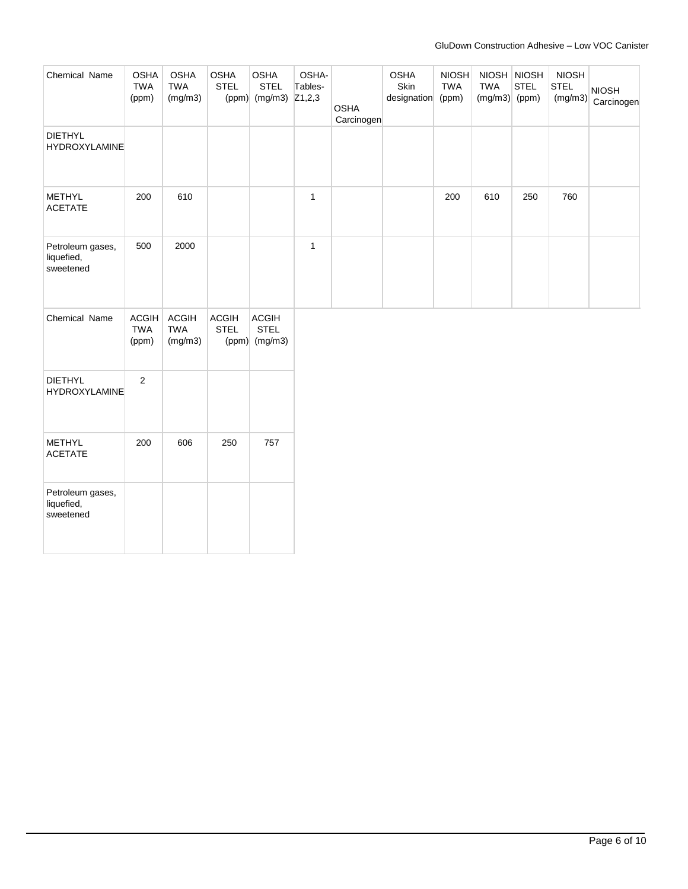| Chemical Name                               | <b>OSHA</b><br><b>TWA</b><br>(ppm)  | <b>OSHA</b><br><b>TWA</b><br>(mg/m3)  | <b>OSHA</b><br><b>STEL</b><br>(ppm) | <b>OSHA</b><br><b>STEL</b><br>(mg/m3) Z1,2,3   | OSHA-<br>Tables- | <b>OSHA</b><br>Carcinogen | <b>OSHA</b><br>Skin<br>designation | <b>NIOSH</b><br><b>TWA</b><br>(ppm) | <b>TWA</b><br>$(mg/m3)$ (ppm) | NIOSH NIOSH<br><b>STEL</b> | <b>NIOSH</b><br><b>STEL</b><br>(mg/m3) | <b>NIOSH</b><br>Carcinogen |
|---------------------------------------------|-------------------------------------|---------------------------------------|-------------------------------------|------------------------------------------------|------------------|---------------------------|------------------------------------|-------------------------------------|-------------------------------|----------------------------|----------------------------------------|----------------------------|
| <b>DIETHYL</b><br><b>HYDROXYLAMINE</b>      |                                     |                                       |                                     |                                                |                  |                           |                                    |                                     |                               |                            |                                        |                            |
| <b>METHYL</b><br><b>ACETATE</b>             | 200                                 | 610                                   |                                     |                                                | $\mathbf{1}$     |                           |                                    | 200                                 | 610                           | 250                        | 760                                    |                            |
| Petroleum gases,<br>liquefied,<br>sweetened | 500                                 | 2000                                  |                                     |                                                | $\mathbf{1}$     |                           |                                    |                                     |                               |                            |                                        |                            |
| Chemical Name                               | <b>ACGIH</b><br><b>TWA</b><br>(ppm) | <b>ACGIH</b><br><b>TWA</b><br>(mg/m3) | <b>ACGIH</b><br><b>STEL</b>         | <b>ACGIH</b><br><b>STEL</b><br>$(ppm)$ (mg/m3) |                  |                           |                                    |                                     |                               |                            |                                        |                            |
| <b>DIETHYL</b><br><b>HYDROXYLAMINE</b>      | $\overline{2}$                      |                                       |                                     |                                                |                  |                           |                                    |                                     |                               |                            |                                        |                            |
| <b>METHYL</b><br><b>ACETATE</b>             | 200                                 | 606                                   | 250                                 | 757                                            |                  |                           |                                    |                                     |                               |                            |                                        |                            |
| Petroleum gases,<br>liquefied,<br>sweetened |                                     |                                       |                                     |                                                |                  |                           |                                    |                                     |                               |                            |                                        |                            |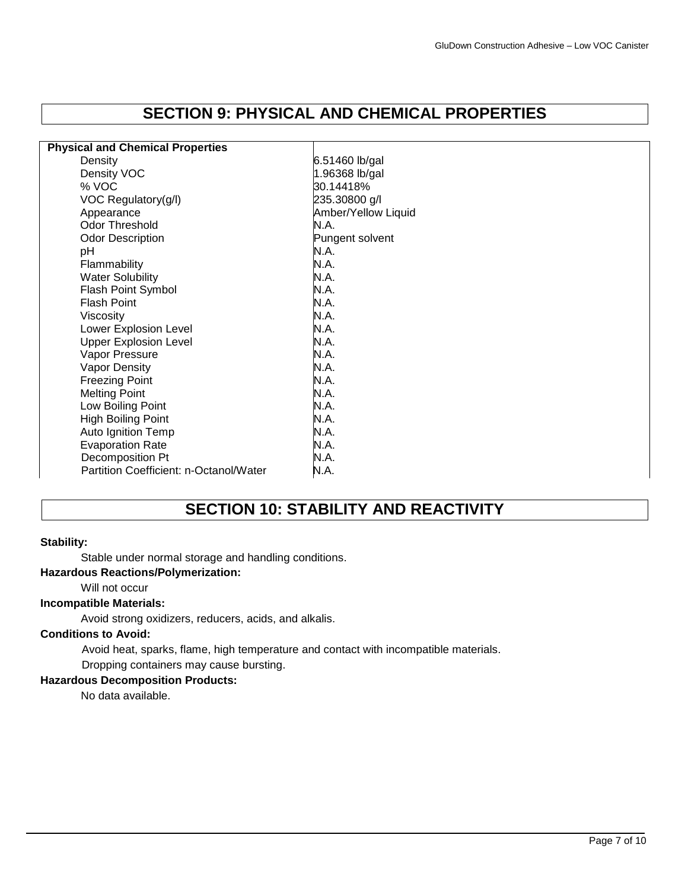# **SECTION 9: PHYSICAL AND CHEMICAL PROPERTIES**

| <b>Physical and Chemical Properties</b> |                     |
|-----------------------------------------|---------------------|
| Density                                 | 6.51460 lb/gal      |
| Density VOC                             | 1.96368 lb/gal      |
| % VOC                                   | 30.14418%           |
| VOC Regulatory(g/l)                     | 235.30800 g/l       |
| Appearance                              | Amber/Yellow Liquid |
| <b>Odor Threshold</b>                   | N.A.                |
| <b>Odor Description</b>                 | Pungent solvent     |
| pH                                      | N.A.                |
| Flammability                            | N.A.                |
| <b>Water Solubility</b>                 | N.A.                |
| Flash Point Symbol                      | N.A.                |
| <b>Flash Point</b>                      | N.A.                |
| Viscosity                               | N.A.                |
| Lower Explosion Level                   | N.A.                |
| <b>Upper Explosion Level</b>            | N.A.                |
| Vapor Pressure                          | N.A.                |
| <b>Vapor Density</b>                    | N.A.                |
| <b>Freezing Point</b>                   | N.A.                |
| <b>Melting Point</b>                    | N.A.                |
| Low Boiling Point                       | N.A.                |
| High Boiling Point                      | N.A.                |
| Auto Ignition Temp                      | N.A.                |
| <b>Evaporation Rate</b>                 | N.A.                |
| Decomposition Pt                        | N.A.                |
| Partition Coefficient: n-Octanol/Water  | N.A.                |

# **SECTION 10: STABILITY AND REACTIVITY**

### **Stability:**

Stable under normal storage and handling conditions.

## **Hazardous Reactions/Polymerization:**

# Will not occur

# **Incompatible Materials:**

Avoid strong oxidizers, reducers, acids, and alkalis.

### **Conditions to Avoid:**

Avoid heat, sparks, flame, high temperature and contact with incompatible materials.

# Dropping containers may cause bursting.

**Hazardous Decomposition Products:** 

No data available.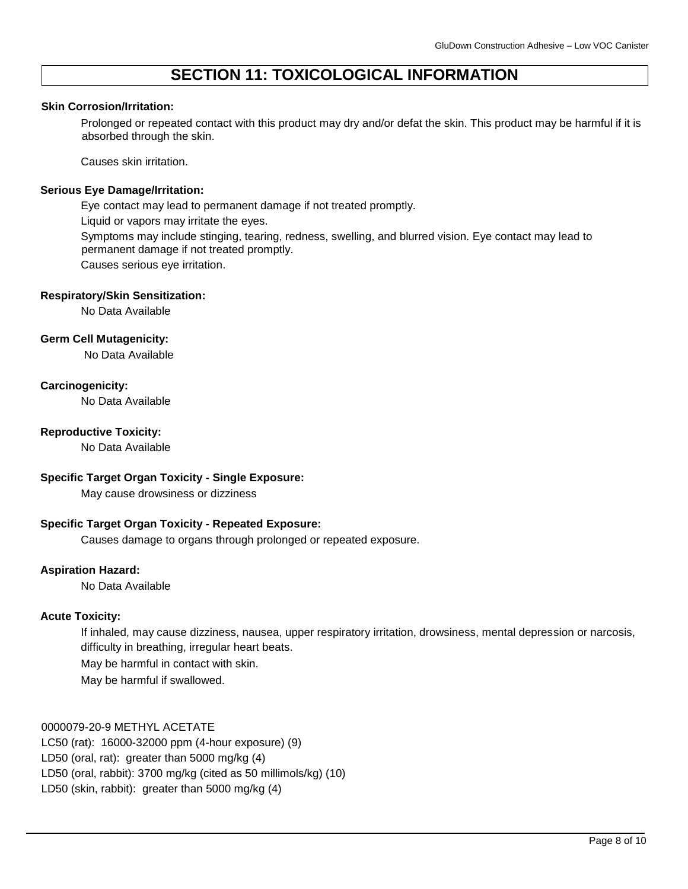# **SECTION 11: TOXICOLOGICAL INFORMATION**

### **Skin Corrosion/Irritation:**

Prolonged or repeated contact with this product may dry and/or defat the skin. This product may be harmful if it is absorbed through the skin.

Causes skin irritation.

### **Serious Eye Damage/Irritation:**

Eye contact may lead to permanent damage if not treated promptly. Liquid or vapors may irritate the eyes. Symptoms may include stinging, tearing, redness, swelling, and blurred vision. Eye contact may lead to permanent damage if not treated promptly. Causes serious eye irritation.

## **Respiratory/Skin Sensitization:**

No Data Available

## **Germ Cell Mutagenicity:**

No Data Available

# **Carcinogenicity:**

No Data Available

## **Reproductive Toxicity:**

No Data Available

## **Specific Target Organ Toxicity - Single Exposure:**

May cause drowsiness or dizziness

## **Specific Target Organ Toxicity - Repeated Exposure:**

Causes damage to organs through prolonged or repeated exposure.

## **Aspiration Hazard:**

No Data Available

## **Acute Toxicity:**

If inhaled, may cause dizziness, nausea, upper respiratory irritation, drowsiness, mental depression or narcosis, difficulty in breathing, irregular heart beats.

May be harmful in contact with skin.

May be harmful if swallowed.

## 0000079-20-9 METHYL ACETATE

LC50 (rat): 16000-32000 ppm (4-hour exposure) (9) LD50 (oral, rat): greater than 5000 mg/kg (4) LD50 (oral, rabbit): 3700 mg/kg (cited as 50 millimols/kg) (10) LD50 (skin, rabbit): greater than 5000 mg/kg (4)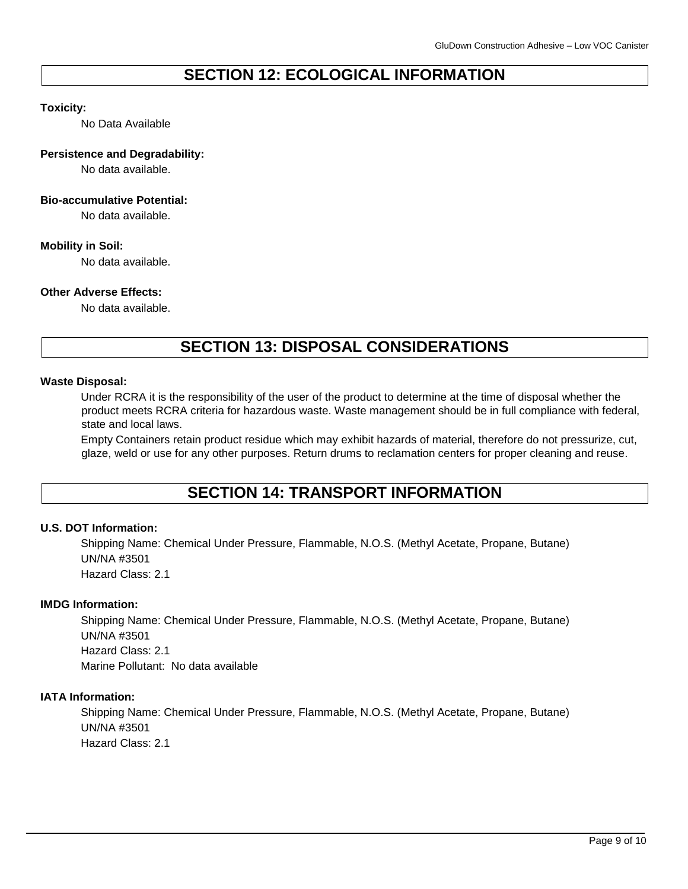# **SECTION 12: ECOLOGICAL INFORMATION**

## **Toxicity:**

No Data Available

### **Persistence and Degradability:**

No data available.

### **Bio-accumulative Potential:**

No data available.

## **Mobility in Soil:**

No data available.

# **Other Adverse Effects:**

No data available.

# **SECTION 13: DISPOSAL CONSIDERATIONS**

### **Waste Disposal:**

Under RCRA it is the responsibility of the user of the product to determine at the time of disposal whether the product meets RCRA criteria for hazardous waste. Waste management should be in full compliance with federal, state and local laws.

Empty Containers retain product residue which may exhibit hazards of material, therefore do not pressurize, cut, glaze, weld or use for any other purposes. Return drums to reclamation centers for proper cleaning and reuse.

# **SECTION 14: TRANSPORT INFORMATION**

## **U.S. DOT Information:**

Shipping Name: Chemical Under Pressure, Flammable, N.O.S. (Methyl Acetate, Propane, Butane) UN/NA #3501 Hazard Class: 2.1

## **IMDG Information:**

Shipping Name: Chemical Under Pressure, Flammable, N.O.S. (Methyl Acetate, Propane, Butane) UN/NA #3501 Hazard Class: 2.1 Marine Pollutant: No data available

### **IATA Information:**

Shipping Name: Chemical Under Pressure, Flammable, N.O.S. (Methyl Acetate, Propane, Butane) UN/NA #3501 Hazard Class: 2.1